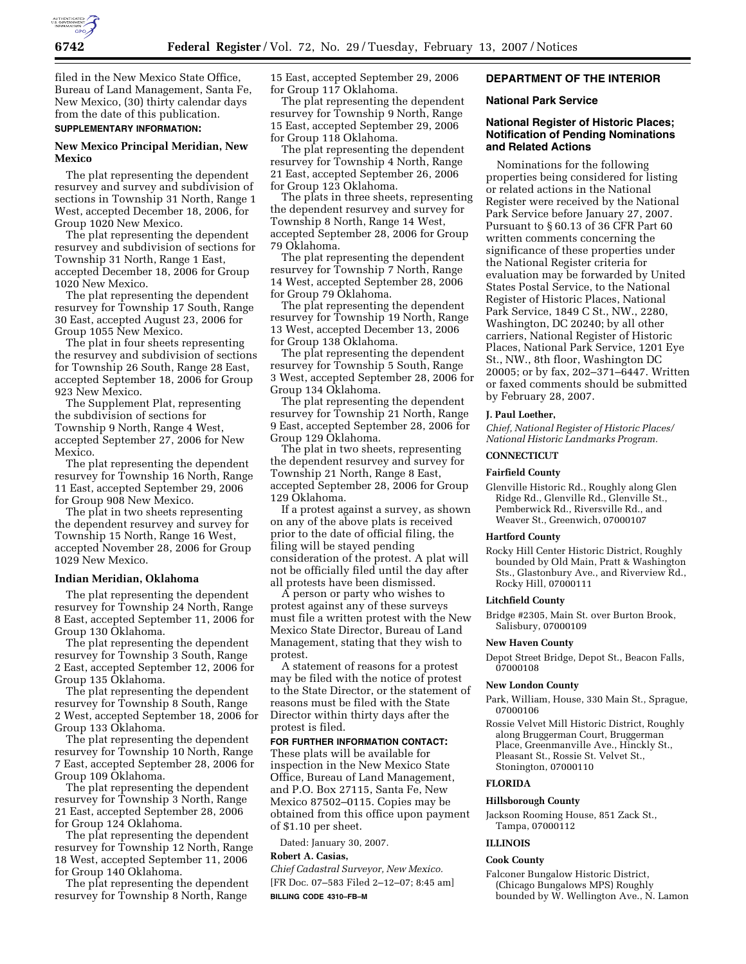

filed in the New Mexico State Office, Bureau of Land Management, Santa Fe, New Mexico, (30) thirty calendar days from the date of this publication.

# **SUPPLEMENTARY INFORMATION:**

# **New Mexico Principal Meridian, New Mexico**

The plat representing the dependent resurvey and survey and subdivision of sections in Township 31 North, Range 1 West, accepted December 18, 2006, for Group 1020 New Mexico.

The plat representing the dependent resurvey and subdivision of sections for Township 31 North, Range 1 East, accepted December 18, 2006 for Group 1020 New Mexico.

The plat representing the dependent resurvey for Township 17 South, Range 30 East, accepted August 23, 2006 for Group 1055 New Mexico.

The plat in four sheets representing the resurvey and subdivision of sections for Township 26 South, Range 28 East, accepted September 18, 2006 for Group 923 New Mexico.

The Supplement Plat, representing the subdivision of sections for Township 9 North, Range 4 West, accepted September 27, 2006 for New Mexico.

The plat representing the dependent resurvey for Township 16 North, Range 11 East, accepted September 29, 2006 for Group 908 New Mexico.

The plat in two sheets representing the dependent resurvey and survey for Township 15 North, Range 16 West, accepted November 28, 2006 for Group 1029 New Mexico.

### **Indian Meridian, Oklahoma**

The plat representing the dependent resurvey for Township 24 North, Range 8 East, accepted September 11, 2006 for Group 130 Oklahoma.

The plat representing the dependent resurvey for Township 3 South, Range 2 East, accepted September 12, 2006 for Group 135 Oklahoma.

The plat representing the dependent resurvey for Township 8 South, Range 2 West, accepted September 18, 2006 for Group 133 Oklahoma.

The plat representing the dependent resurvey for Township 10 North, Range 7 East, accepted September 28, 2006 for Group 109 Oklahoma.

The plat representing the dependent resurvey for Township 3 North, Range 21 East, accepted September 28, 2006 for Group 124 Oklahoma.

The plat representing the dependent resurvey for Township 12 North, Range 18 West, accepted September 11, 2006 for Group 140 Oklahoma.

The plat representing the dependent resurvey for Township 8 North, Range

15 East, accepted September 29, 2006 for Group 117 Oklahoma.

The plat representing the dependent resurvey for Township 9 North, Range 15 East, accepted September 29, 2006 for Group 118 Oklahoma.

The plat representing the dependent resurvey for Township 4 North, Range 21 East, accepted September 26, 2006 for Group 123 Oklahoma.

The plats in three sheets, representing the dependent resurvey and survey for Township 8 North, Range 14 West, accepted September 28, 2006 for Group 79 Oklahoma.

The plat representing the dependent resurvey for Township 7 North, Range 14 West, accepted September 28, 2006 for Group 79 Oklahoma.

The plat representing the dependent resurvey for Township 19 North, Range 13 West, accepted December 13, 2006 for Group 138 Oklahoma.

The plat representing the dependent resurvey for Township 5 South, Range 3 West, accepted September 28, 2006 for Group 134 Oklahoma.

The plat representing the dependent resurvey for Township 21 North, Range 9 East, accepted September 28, 2006 for Group 129 Oklahoma.

The plat in two sheets, representing the dependent resurvey and survey for Township 21 North, Range 8 East, accepted September 28, 2006 for Group 129 Oklahoma.

If a protest against a survey, as shown on any of the above plats is received prior to the date of official filing, the filing will be stayed pending consideration of the protest. A plat will not be officially filed until the day after all protests have been dismissed.

A person or party who wishes to protest against any of these surveys must file a written protest with the New Mexico State Director, Bureau of Land Management, stating that they wish to protest.

A statement of reasons for a protest may be filed with the notice of protest to the State Director, or the statement of reasons must be filed with the State Director within thirty days after the protest is filed.

**FOR FURTHER INFORMATION CONTACT:** 

These plats will be available for inspection in the New Mexico State Office, Bureau of Land Management, and P.O. Box 27115, Santa Fe, New Mexico 87502–0115. Copies may be obtained from this office upon payment of \$1.10 per sheet.

Dated: January 30, 2007.

# **Robert A. Casias,**

*Chief Cadastral Surveyor, New Mexico.*  [FR Doc. 07–583 Filed 2–12–07; 8:45 am] **BILLING CODE 4310–FB–M** 

### **DEPARTMENT OF THE INTERIOR**

### **National Park Service**

# **National Register of Historic Places; Notification of Pending Nominations and Related Actions**

Nominations for the following properties being considered for listing or related actions in the National Register were received by the National Park Service before January 27, 2007. Pursuant to § 60.13 of 36 CFR Part 60 written comments concerning the significance of these properties under the National Register criteria for evaluation may be forwarded by United States Postal Service, to the National Register of Historic Places, National Park Service, 1849 C St., NW., 2280, Washington, DC 20240; by all other carriers, National Register of Historic Places, National Park Service, 1201 Eye St., NW., 8th floor, Washington DC 20005; or by fax, 202–371–6447. Written or faxed comments should be submitted by February 28, 2007.

#### **J. Paul Loether,**

*Chief, National Register of Historic Places/ National Historic Landmarks Program.* 

# **CONNECTICUT**

### **Fairfield County**

Glenville Historic Rd., Roughly along Glen Ridge Rd., Glenville Rd., Glenville St., Pemberwick Rd., Riversville Rd., and Weaver St., Greenwich, 07000107

#### **Hartford County**

Rocky Hill Center Historic District, Roughly bounded by Old Main, Pratt & Washington Sts., Glastonbury Ave., and Riverview Rd., Rocky Hill, 07000111

## **Litchfield County**

Bridge #2305, Main St. over Burton Brook, Salisbury, 07000109

#### **New Haven County**

Depot Street Bridge, Depot St., Beacon Falls, 07000108

#### **New London County**

Park, William, House, 330 Main St., Sprague, 07000106

Rossie Velvet Mill Historic District, Roughly along Bruggerman Court, Bruggerman Place, Greenmanville Ave., Hinckly St., Pleasant St., Rossie St. Velvet St., Stonington, 07000110

## **FLORIDA**

#### **Hillsborough County**

Jackson Rooming House, 851 Zack St., Tampa, 07000112

# **ILLINOIS**

# **Cook County**

Falconer Bungalow Historic District, (Chicago Bungalows MPS) Roughly bounded by W. Wellington Ave., N. Lamon